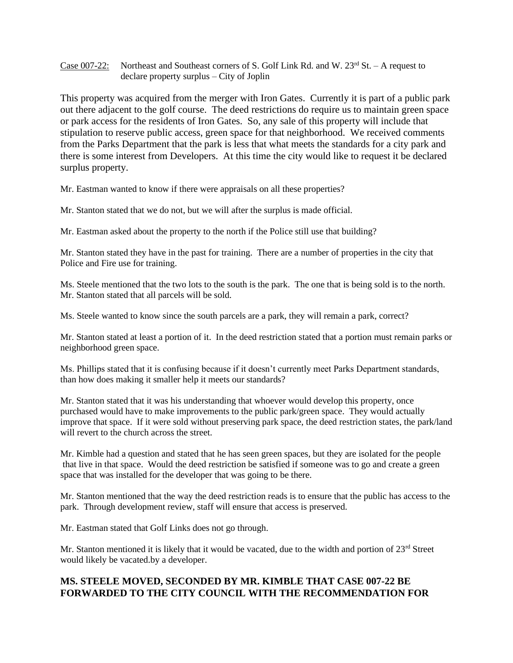Case 007-22: Northeast and Southeast corners of S. Golf Link Rd. and W.  $23<sup>rd</sup>$  St. – A request to declare property surplus – City of Joplin

This property was acquired from the merger with Iron Gates. Currently it is part of a public park out there adjacent to the golf course. The deed restrictions do require us to maintain green space or park access for the residents of Iron Gates. So, any sale of this property will include that stipulation to reserve public access, green space for that neighborhood. We received comments from the Parks Department that the park is less that what meets the standards for a city park and there is some interest from Developers. At this time the city would like to request it be declared surplus property.

Mr. Eastman wanted to know if there were appraisals on all these properties?

Mr. Stanton stated that we do not, but we will after the surplus is made official.

Mr. Eastman asked about the property to the north if the Police still use that building?

Mr. Stanton stated they have in the past for training. There are a number of properties in the city that Police and Fire use for training.

Ms. Steele mentioned that the two lots to the south is the park. The one that is being sold is to the north. Mr. Stanton stated that all parcels will be sold.

Ms. Steele wanted to know since the south parcels are a park, they will remain a park, correct?

Mr. Stanton stated at least a portion of it. In the deed restriction stated that a portion must remain parks or neighborhood green space.

Ms. Phillips stated that it is confusing because if it doesn't currently meet Parks Department standards, than how does making it smaller help it meets our standards?

Mr. Stanton stated that it was his understanding that whoever would develop this property, once purchased would have to make improvements to the public park/green space. They would actually improve that space. If it were sold without preserving park space, the deed restriction states, the park/land will revert to the church across the street.

Mr. Kimble had a question and stated that he has seen green spaces, but they are isolated for the people that live in that space. Would the deed restriction be satisfied if someone was to go and create a green space that was installed for the developer that was going to be there.

Mr. Stanton mentioned that the way the deed restriction reads is to ensure that the public has access to the park. Through development review, staff will ensure that access is preserved.

Mr. Eastman stated that Golf Links does not go through.

Mr. Stanton mentioned it is likely that it would be vacated, due to the width and portion of  $23<sup>rd</sup>$  Street would likely be vacated.by a developer.

## **MS. STEELE MOVED, SECONDED BY MR. KIMBLE THAT CASE 007-22 BE FORWARDED TO THE CITY COUNCIL WITH THE RECOMMENDATION FOR**